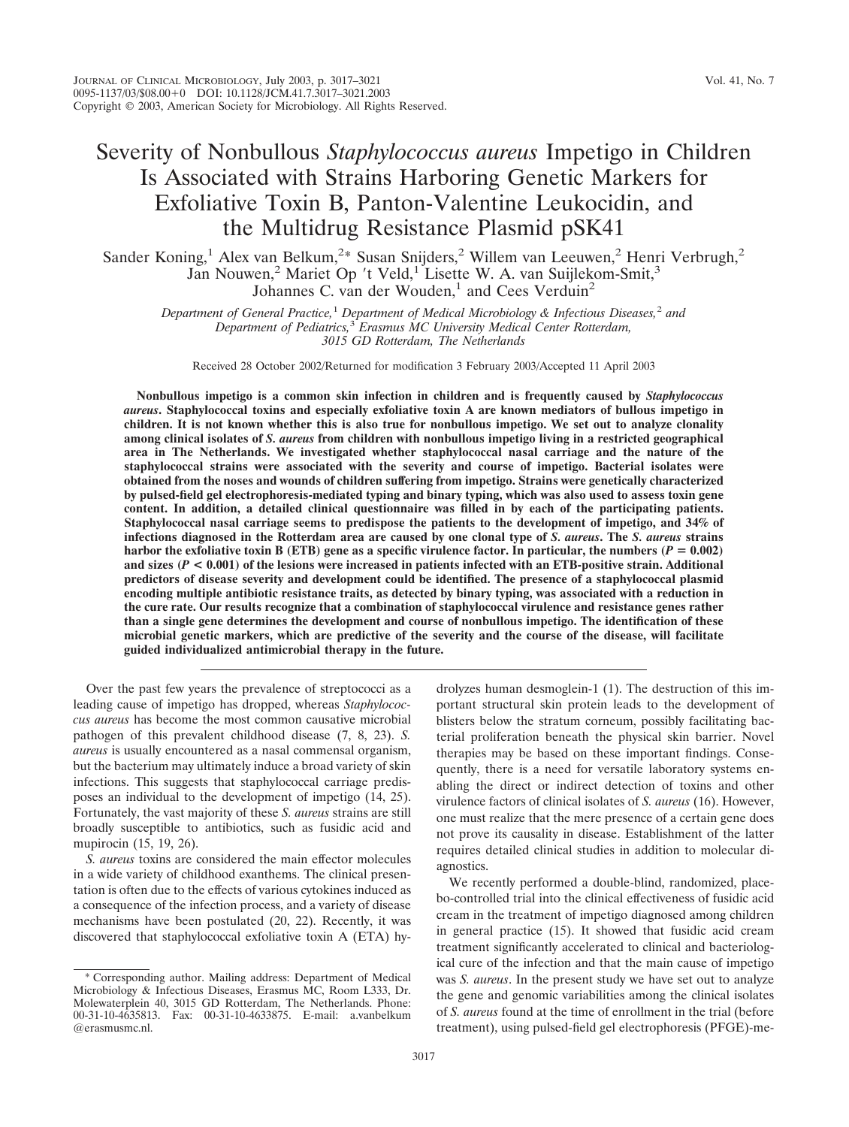# Severity of Nonbullous *Staphylococcus aureus* Impetigo in Children Is Associated with Strains Harboring Genetic Markers for Exfoliative Toxin B, Panton-Valentine Leukocidin, and the Multidrug Resistance Plasmid pSK41

Sander Koning,<sup>1</sup> Alex van Belkum,<sup>2\*</sup> Susan Snijders,<sup>2</sup> Willem van Leeuwen,<sup>2</sup> Henri Verbrugh,<sup>2</sup> Jan Nouwen,<sup>2</sup> Mariet Op 't Veld,<sup>1</sup> Lisette W. A. van Suijlekom-Smit,<sup>3</sup> Johannes C. van der Wouden,<sup>1</sup> and Cees Verduin<sup>2</sup>

*Department of General Practice,*<sup>1</sup> *Department of Medical Microbiology & Infectious Diseases,*<sup>2</sup> *and Department of Pediatrics,*<sup>3</sup> *Erasmus MC University Medical Center Rotterdam, 3015 GD Rotterdam, The Netherlands*

Received 28 October 2002/Returned for modification 3 February 2003/Accepted 11 April 2003

**Nonbullous impetigo is a common skin infection in children and is frequently caused by** *Staphylococcus aureus***. Staphylococcal toxins and especially exfoliative toxin A are known mediators of bullous impetigo in children. It is not known whether this is also true for nonbullous impetigo. We set out to analyze clonality among clinical isolates of** *S. aureus* **from children with nonbullous impetigo living in a restricted geographical area in The Netherlands. We investigated whether staphylococcal nasal carriage and the nature of the staphylococcal strains were associated with the severity and course of impetigo. Bacterial isolates were obtained from the noses and wounds of children suffering from impetigo. Strains were genetically characterized by pulsed-field gel electrophoresis-mediated typing and binary typing, which was also used to assess toxin gene content. In addition, a detailed clinical questionnaire was filled in by each of the participating patients. Staphylococcal nasal carriage seems to predispose the patients to the development of impetigo, and 34% of infections diagnosed in the Rotterdam area are caused by one clonal type of** *S. aureus***. The** *S. aureus* **strains harbor the exfoliative toxin B (ETB) gene as a specific virulence factor. In particular, the numbers**  $(P = 0.002)$ **and sizes (***P* **< 0.001) of the lesions were increased in patients infected with an ETB-positive strain. Additional predictors of disease severity and development could be identified. The presence of a staphylococcal plasmid encoding multiple antibiotic resistance traits, as detected by binary typing, was associated with a reduction in the cure rate. Our results recognize that a combination of staphylococcal virulence and resistance genes rather than a single gene determines the development and course of nonbullous impetigo. The identification of these microbial genetic markers, which are predictive of the severity and the course of the disease, will facilitate guided individualized antimicrobial therapy in the future.**

Over the past few years the prevalence of streptococci as a leading cause of impetigo has dropped, whereas *Staphylococcus aureus* has become the most common causative microbial pathogen of this prevalent childhood disease (7, 8, 23). *S. aureus* is usually encountered as a nasal commensal organism, but the bacterium may ultimately induce a broad variety of skin infections. This suggests that staphylococcal carriage predisposes an individual to the development of impetigo (14, 25). Fortunately, the vast majority of these *S. aureus* strains are still broadly susceptible to antibiotics, such as fusidic acid and mupirocin (15, 19, 26).

*S. aureus* toxins are considered the main effector molecules in a wide variety of childhood exanthems. The clinical presentation is often due to the effects of various cytokines induced as a consequence of the infection process, and a variety of disease mechanisms have been postulated (20, 22). Recently, it was discovered that staphylococcal exfoliative toxin A (ETA) hydrolyzes human desmoglein-1 (1). The destruction of this important structural skin protein leads to the development of blisters below the stratum corneum, possibly facilitating bacterial proliferation beneath the physical skin barrier. Novel therapies may be based on these important findings. Consequently, there is a need for versatile laboratory systems enabling the direct or indirect detection of toxins and other virulence factors of clinical isolates of *S. aureus* (16). However, one must realize that the mere presence of a certain gene does not prove its causality in disease. Establishment of the latter requires detailed clinical studies in addition to molecular diagnostics.

We recently performed a double-blind, randomized, placebo-controlled trial into the clinical effectiveness of fusidic acid cream in the treatment of impetigo diagnosed among children in general practice (15). It showed that fusidic acid cream treatment significantly accelerated to clinical and bacteriological cure of the infection and that the main cause of impetigo was *S. aureus*. In the present study we have set out to analyze the gene and genomic variabilities among the clinical isolates of *S. aureus* found at the time of enrollment in the trial (before treatment), using pulsed-field gel electrophoresis (PFGE)-me-

<sup>\*</sup> Corresponding author. Mailing address: Department of Medical Microbiology & Infectious Diseases, Erasmus MC, Room L333, Dr. Molewaterplein 40, 3015 GD Rotterdam, The Netherlands. Phone: 00-31-10-4635813. Fax: 00-31-10-4633875. E-mail: a.vanbelkum @erasmusmc.nl.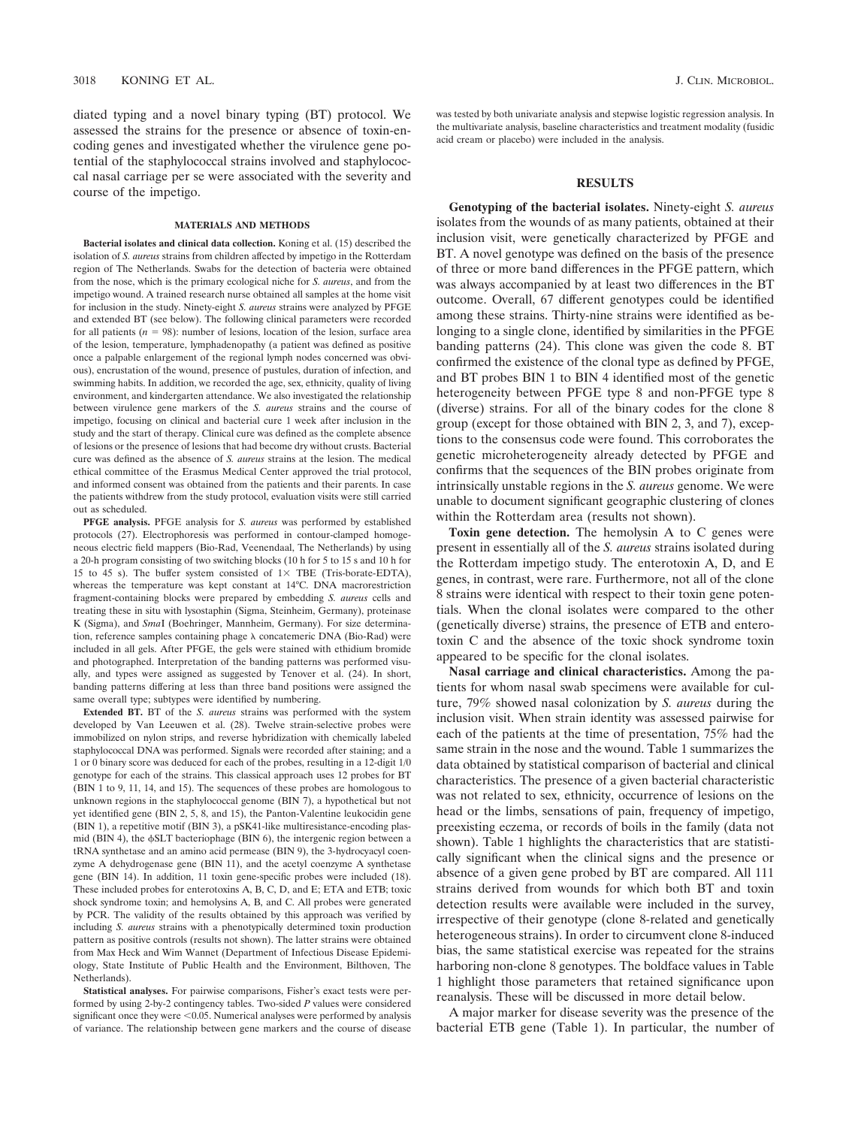diated typing and a novel binary typing (BT) protocol. We assessed the strains for the presence or absence of toxin-encoding genes and investigated whether the virulence gene potential of the staphylococcal strains involved and staphylococcal nasal carriage per se were associated with the severity and course of the impetigo.

#### **MATERIALS AND METHODS**

**Bacterial isolates and clinical data collection.** Koning et al. (15) described the isolation of *S. aureus* strains from children affected by impetigo in the Rotterdam region of The Netherlands. Swabs for the detection of bacteria were obtained from the nose, which is the primary ecological niche for *S. aureus*, and from the impetigo wound. A trained research nurse obtained all samples at the home visit for inclusion in the study. Ninety-eight *S. aureus* strains were analyzed by PFGE and extended BT (see below). The following clinical parameters were recorded for all patients  $(n = 98)$ : number of lesions, location of the lesion, surface area of the lesion, temperature, lymphadenopathy (a patient was defined as positive once a palpable enlargement of the regional lymph nodes concerned was obvious), encrustation of the wound, presence of pustules, duration of infection, and swimming habits. In addition, we recorded the age, sex, ethnicity, quality of living environment, and kindergarten attendance. We also investigated the relationship between virulence gene markers of the *S. aureus* strains and the course of impetigo, focusing on clinical and bacterial cure 1 week after inclusion in the study and the start of therapy. Clinical cure was defined as the complete absence of lesions or the presence of lesions that had become dry without crusts. Bacterial cure was defined as the absence of *S. aureus* strains at the lesion. The medical ethical committee of the Erasmus Medical Center approved the trial protocol, and informed consent was obtained from the patients and their parents. In case the patients withdrew from the study protocol, evaluation visits were still carried out as scheduled.

**PFGE analysis.** PFGE analysis for *S. aureus* was performed by established protocols (27). Electrophoresis was performed in contour-clamped homogeneous electric field mappers (Bio-Rad, Veenendaal, The Netherlands) by using a 20-h program consisting of two switching blocks (10 h for 5 to 15 s and 10 h for 15 to 45 s). The buffer system consisted of  $1 \times$  TBE (Tris-borate-EDTA), whereas the temperature was kept constant at 14°C. DNA macrorestriction fragment-containing blocks were prepared by embedding *S. aureus* cells and treating these in situ with lysostaphin (Sigma, Steinheim, Germany), proteinase K (Sigma), and *Sma*I (Boehringer, Mannheim, Germany). For size determination, reference samples containing phage  $\lambda$  concatemeric DNA (Bio-Rad) were included in all gels. After PFGE, the gels were stained with ethidium bromide and photographed. Interpretation of the banding patterns was performed visually, and types were assigned as suggested by Tenover et al. (24). In short, banding patterns differing at less than three band positions were assigned the same overall type; subtypes were identified by numbering.

**Extended BT.** BT of the *S. aureus* strains was performed with the system developed by Van Leeuwen et al. (28). Twelve strain-selective probes were immobilized on nylon strips, and reverse hybridization with chemically labeled staphylococcal DNA was performed. Signals were recorded after staining; and a 1 or 0 binary score was deduced for each of the probes, resulting in a 12-digit 1/0 genotype for each of the strains. This classical approach uses 12 probes for BT (BIN 1 to 9, 11, 14, and 15). The sequences of these probes are homologous to unknown regions in the staphylococcal genome (BIN 7), a hypothetical but not yet identified gene (BIN 2, 5, 8, and 15), the Panton-Valentine leukocidin gene (BIN 1), a repetitive motif (BIN 3), a pSK41-like multiresistance-encoding plasmid (BIN 4), the  $\phi$ SLT bacteriophage (BIN 6), the intergenic region between a tRNA synthetase and an amino acid permease (BIN 9), the 3-hydrocyacyl coenzyme A dehydrogenase gene (BIN 11), and the acetyl coenzyme A synthetase gene (BIN 14). In addition, 11 toxin gene-specific probes were included (18). These included probes for enterotoxins A, B, C, D, and E; ETA and ETB; toxic shock syndrome toxin; and hemolysins A, B, and C. All probes were generated by PCR. The validity of the results obtained by this approach was verified by including *S. aureus* strains with a phenotypically determined toxin production pattern as positive controls (results not shown). The latter strains were obtained from Max Heck and Wim Wannet (Department of Infectious Disease Epidemiology, State Institute of Public Health and the Environment, Bilthoven, The Netherlands).

**Statistical analyses.** For pairwise comparisons, Fisher's exact tests were performed by using 2-by-2 contingency tables. Two-sided *P* values were considered significant once they were  $< 0.05$ . Numerical analyses were performed by analysis of variance. The relationship between gene markers and the course of disease

was tested by both univariate analysis and stepwise logistic regression analysis. In the multivariate analysis, baseline characteristics and treatment modality (fusidic acid cream or placebo) were included in the analysis.

## **RESULTS**

**Genotyping of the bacterial isolates.** Ninety-eight *S. aureus* isolates from the wounds of as many patients, obtained at their inclusion visit, were genetically characterized by PFGE and BT. A novel genotype was defined on the basis of the presence of three or more band differences in the PFGE pattern, which was always accompanied by at least two differences in the BT outcome. Overall, 67 different genotypes could be identified among these strains. Thirty-nine strains were identified as belonging to a single clone, identified by similarities in the PFGE banding patterns (24). This clone was given the code 8. BT confirmed the existence of the clonal type as defined by PFGE, and BT probes BIN 1 to BIN 4 identified most of the genetic heterogeneity between PFGE type 8 and non-PFGE type 8 (diverse) strains. For all of the binary codes for the clone 8 group (except for those obtained with BIN 2, 3, and 7), exceptions to the consensus code were found. This corroborates the genetic microheterogeneity already detected by PFGE and confirms that the sequences of the BIN probes originate from intrinsically unstable regions in the *S. aureus* genome. We were unable to document significant geographic clustering of clones within the Rotterdam area (results not shown).

**Toxin gene detection.** The hemolysin A to C genes were present in essentially all of the *S. aureus* strains isolated during the Rotterdam impetigo study. The enterotoxin A, D, and E genes, in contrast, were rare. Furthermore, not all of the clone 8 strains were identical with respect to their toxin gene potentials. When the clonal isolates were compared to the other (genetically diverse) strains, the presence of ETB and enterotoxin C and the absence of the toxic shock syndrome toxin appeared to be specific for the clonal isolates.

**Nasal carriage and clinical characteristics.** Among the patients for whom nasal swab specimens were available for culture, 79% showed nasal colonization by *S. aureus* during the inclusion visit. When strain identity was assessed pairwise for each of the patients at the time of presentation, 75% had the same strain in the nose and the wound. Table 1 summarizes the data obtained by statistical comparison of bacterial and clinical characteristics. The presence of a given bacterial characteristic was not related to sex, ethnicity, occurrence of lesions on the head or the limbs, sensations of pain, frequency of impetigo, preexisting eczema, or records of boils in the family (data not shown). Table 1 highlights the characteristics that are statistically significant when the clinical signs and the presence or absence of a given gene probed by BT are compared. All 111 strains derived from wounds for which both BT and toxin detection results were available were included in the survey, irrespective of their genotype (clone 8-related and genetically heterogeneous strains). In order to circumvent clone 8-induced bias, the same statistical exercise was repeated for the strains harboring non-clone 8 genotypes. The boldface values in Table 1 highlight those parameters that retained significance upon reanalysis. These will be discussed in more detail below.

A major marker for disease severity was the presence of the bacterial ETB gene (Table 1). In particular, the number of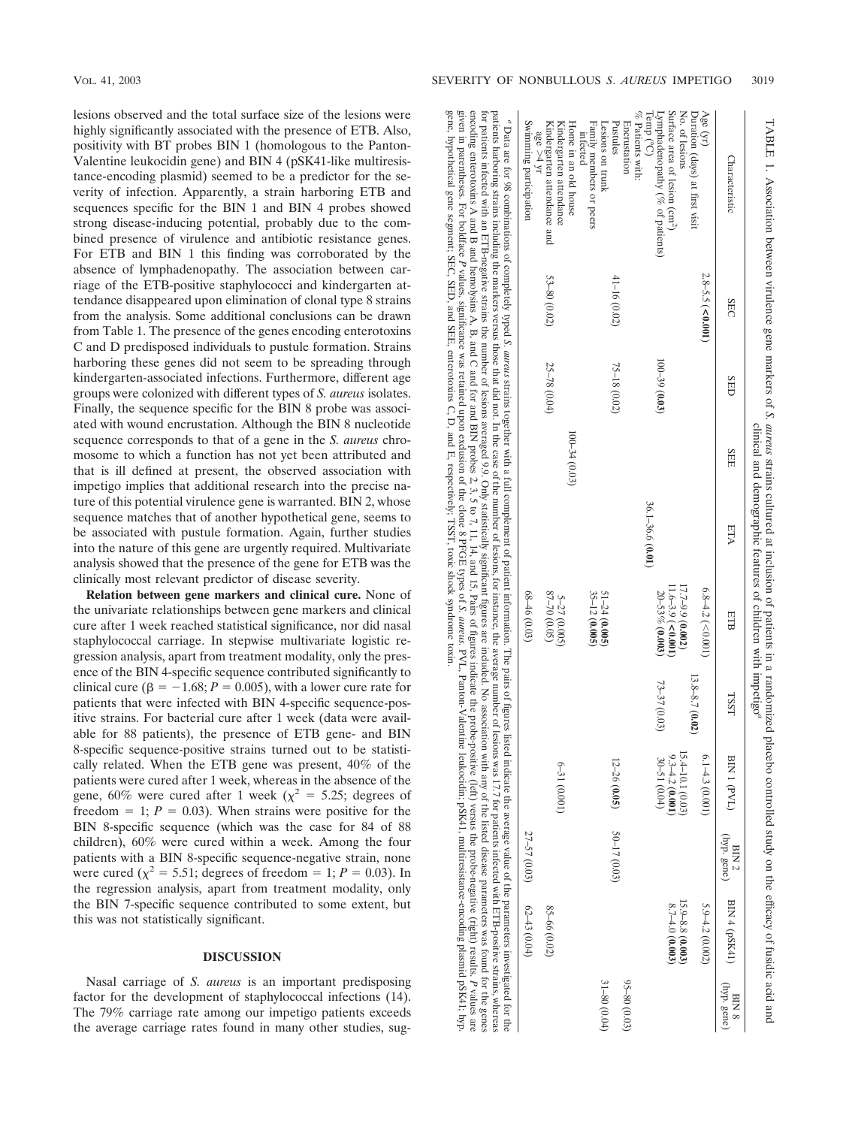lesions observed and the total surface size of the lesions were highly significantly associated with the presence of ETB. Also, positivity with BT probes BIN 1 (homologous to the Panton-Valentine leukocidin gene) and BIN 4 (pSK41-like multiresistance-encoding plasmid) seemed to be a predictor for the severity of infection. Apparently, a strain harboring ETB and sequences specific for the BIN 1 and BIN 4 probes showed strong disease-inducing potential, probably due to the combined presence of virulence and antibiotic resistance genes. For ETB and BIN 1 this finding was corroborated by the absence of lymphadenopathy. The association between carriage of the ETB-positive staphylococci and kindergarten attendance disappeared upon elimination of clonal type 8 strains from the analysis. Some additional conclusions can be drawn from Table 1. The presence of the genes encoding enterotoxins C and D predisposed individuals to pustule formation. Strains harboring these genes did not seem to be spreading through kindergarten-associated infections. Furthermore, different age groups were colonized with different types of *S. aureus* isolates. Finally, the sequence specific for the BIN 8 probe was associated with wound encrustation. Although the BIN 8 nucleotide sequence corresponds to that of a gene in the *S. aureus* chromosome to which a function has not yet been attributed and that is ill defined at present, the observed association with impetigo implies that additional research into the precise nature of this potential virulence gene is warranted. BIN 2, whose sequence matches that of another hypothetical gene, seems to be associated with pustule formation. Again, further studies into the nature of this gene are urgently required. Multivariate analysis showed that the presence of the gene for ETB was the clinically most relevant predictor of disease severity.

**Relation between gene markers and clinical cure.** None of the univariate relationships between gene markers and clinical cure after 1 week reached statistical significance, nor did nasal staphylococcal carriage. In stepwise multivariate logistic regression analysis, apart from treatment modality, only the presence of the BIN 4-specific sequence contributed significantly to clinical cure ( $\beta = -1.68$ ;  $P = 0.005$ ), with a lower cure rate for patients that were infected with BIN 4-specific sequence-positive strains. For bacterial cure after 1 week (data were available for 88 patients), the presence of ETB gene- and BIN 8-specific sequence-positive strains turned out to be statistically related. When the ETB gene was present, 40% of the patients were cured after 1 week, whereas in the absence of the gene, 60% were cured after 1 week ( $\chi^2 = 5.25$ ; degrees of freedom  $= 1$ ;  $P = 0.03$ ). When strains were positive for the BIN 8-specific sequence (which was the case for 84 of 88 children), 60% were cured within a week. Among the four patients with a BIN 8-specific sequence-negative strain, none were cured ( $\chi^2 = 5.51$ ; degrees of freedom = 1; *P* = 0.03). In the regression analysis, apart from treatment modality, only the BIN 7-specific sequence contributed to some extent, but this was not statistically significant.

## **DISCUSSION**

Nasal carriage of *S. aureus* is an important predisposing factor for the development of staphylococcal infections (14). The 79% carriage rate among our impetigo patients exceeds the average carriage rates found in many other studies, suggene,

hypothetical

gene segment; SEC, SED, and SEE,

enterotoxins

C, D, and

E,

respectively;

TSST,

toxic shock syndrome

toxin.

|                             |                                             |                      |                                         |                    |                                               |                                                              |                  |                  |                      | patients harboring the markers versus that did not, In the case of the case of the average number of lesions, for instance, the average number of lessons was 17.1 tor patients including the markers versus to that a not. In<br>encoding enterotoxins A and B and hemolysins A, B, and C and for and BIN probes 2, 3, 5 to 7, 11, 14, and 15, Pairs of figures indicate the probe-positive (left) versus the probe-negative (right) results. P values are<br>for patients infected with an ETB-negative strains the number of lessions averaged 9.9. Only statistically significant figures are included. No association with any of the listed disease parameters was found for the genes<br>" Data are for 98 combinations of completely typed S. aureus strains together with a full complement of patient information. The pairs of figures listed indicate the average value of the parameters investigated for the |
|-----------------------------|---------------------------------------------|----------------------|-----------------------------------------|--------------------|-----------------------------------------------|--------------------------------------------------------------|------------------|------------------|----------------------|----------------------------------------------------------------------------------------------------------------------------------------------------------------------------------------------------------------------------------------------------------------------------------------------------------------------------------------------------------------------------------------------------------------------------------------------------------------------------------------------------------------------------------------------------------------------------------------------------------------------------------------------------------------------------------------------------------------------------------------------------------------------------------------------------------------------------------------------------------------------------------------------------------------------------|
|                             | $62 - 43 (0.04)$                            | 27-57 (0.03)         |                                         |                    | $68 - 46$ (0.03)                              |                                                              |                  |                  |                      | Swimming participation<br>326 > 4 yr                                                                                                                                                                                                                                                                                                                                                                                                                                                                                                                                                                                                                                                                                                                                                                                                                                                                                       |
|                             | 85-66 (0.02)                                |                      | $6 - 31 (0.001)$                        |                    | 87-70 (0.05)<br>$5 - 27$ (0.005)              |                                                              | $100 - 34(0.03)$ | 25-78 (0.04)     | $53 - 80(0.02)$      | Home in an old house<br>Kindergarten attendance and<br>Kindergarten attendance                                                                                                                                                                                                                                                                                                                                                                                                                                                                                                                                                                                                                                                                                                                                                                                                                                             |
| 31-80 (0.04)                |                                             |                      |                                         |                    | $51 - 24$ (0.005)<br>35-12 (0.005)            |                                                              |                  |                  |                      | Family members or peers<br>Lesions on trunk<br>infected                                                                                                                                                                                                                                                                                                                                                                                                                                                                                                                                                                                                                                                                                                                                                                                                                                                                    |
| $95 - 80$ $(0.03)$          |                                             | 50-17 (0.03)         | 12-26 (0.05)                            |                    |                                               |                                                              |                  | 75-18 (0.02)     | 41-16 (0.02)         | Pustules<br>Encrustation                                                                                                                                                                                                                                                                                                                                                                                                                                                                                                                                                                                                                                                                                                                                                                                                                                                                                                   |
|                             |                                             |                      | 30-51 (0.04)                            | 73-37 (0.03)       | 20-53% (0.003)                                | 36.1-36.6 (0.01)                                             |                  | $100 - 39(0.03)$ |                      | Temp (°C)<br>Lymphadenopathy (% of patients)<br>$\%$ Patients with:                                                                                                                                                                                                                                                                                                                                                                                                                                                                                                                                                                                                                                                                                                                                                                                                                                                        |
|                             | $15.9 - 8.8$ (0.003)<br>$8.7 - 4.0$ (0.003) |                      | 15.4-10.1 (0.03)<br>$9.3 - 4.2 (0.001)$ |                    | $11.6 - 3.9$ (<0.001)<br>$17.7 - 9.9$ (0.002) |                                                              |                  |                  |                      | Surface area of lesion $(cm^2)$<br>No. of lesions                                                                                                                                                                                                                                                                                                                                                                                                                                                                                                                                                                                                                                                                                                                                                                                                                                                                          |
|                             |                                             |                      |                                         | $13.8 - 8.7(0.02)$ |                                               |                                                              |                  |                  |                      | Duration (days) at first visit                                                                                                                                                                                                                                                                                                                                                                                                                                                                                                                                                                                                                                                                                                                                                                                                                                                                                             |
|                             | $5.9 - 4.2 (0.002)$                         |                      | $6.1 - 4.3(0.001)$                      |                    | $6.8 - 4.2$ (<0.001)                          |                                                              |                  |                  | $2.8 - 5.5$ (<0.001) | Age (yr)                                                                                                                                                                                                                                                                                                                                                                                                                                                                                                                                                                                                                                                                                                                                                                                                                                                                                                                   |
| (hyp. gene)<br><b>BIN 8</b> | $(BIN 4 (pSK41)$                            | (hyp. gene)<br>BIN 2 | BIN 1 (PVL)                             | TSST               | ETB                                           | ETA                                                          | SEE              | <b>SED</b>       | <b>SEC</b>           | Characteristic                                                                                                                                                                                                                                                                                                                                                                                                                                                                                                                                                                                                                                                                                                                                                                                                                                                                                                             |
|                             |                                             |                      |                                         |                    |                                               | clinical and demographic features of children with impetigo" |                  |                  |                      | TABLE 1. Association between virulence gene markers of S. atureas strains cultured at inclusion of patients in a randomized placebo controlled study on the efficacy of fusidic acid and                                                                                                                                                                                                                                                                                                                                                                                                                                                                                                                                                                                                                                                                                                                                   |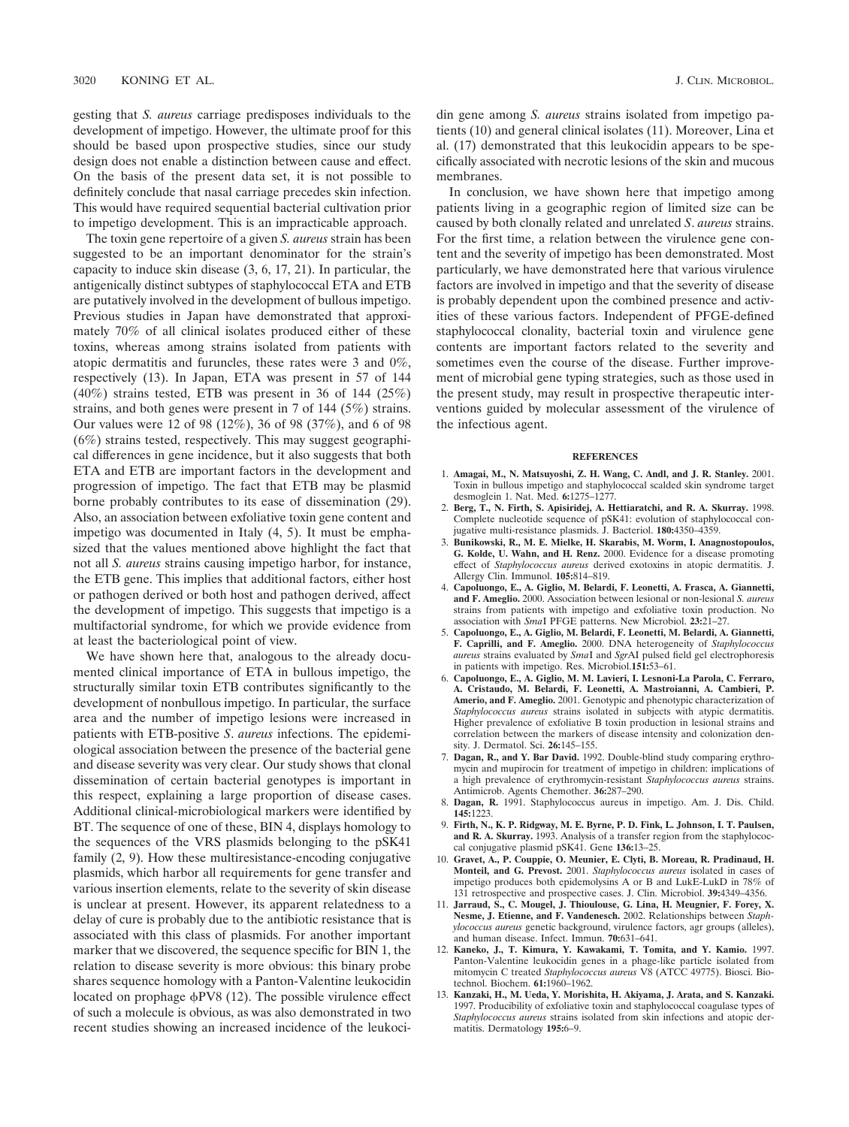gesting that *S. aureus* carriage predisposes individuals to the development of impetigo. However, the ultimate proof for this should be based upon prospective studies, since our study design does not enable a distinction between cause and effect. On the basis of the present data set, it is not possible to definitely conclude that nasal carriage precedes skin infection. This would have required sequential bacterial cultivation prior to impetigo development. This is an impracticable approach.

The toxin gene repertoire of a given *S. aureus* strain has been suggested to be an important denominator for the strain's capacity to induce skin disease (3, 6, 17, 21). In particular, the antigenically distinct subtypes of staphylococcal ETA and ETB are putatively involved in the development of bullous impetigo. Previous studies in Japan have demonstrated that approximately 70% of all clinical isolates produced either of these toxins, whereas among strains isolated from patients with atopic dermatitis and furuncles, these rates were 3 and 0%, respectively (13). In Japan, ETA was present in 57 of 144 (40%) strains tested, ETB was present in 36 of 144 (25%) strains, and both genes were present in 7 of 144 (5%) strains. Our values were 12 of 98 (12%), 36 of 98 (37%), and 6 of 98 (6%) strains tested, respectively. This may suggest geographical differences in gene incidence, but it also suggests that both ETA and ETB are important factors in the development and progression of impetigo. The fact that ETB may be plasmid borne probably contributes to its ease of dissemination (29). Also, an association between exfoliative toxin gene content and impetigo was documented in Italy (4, 5). It must be emphasized that the values mentioned above highlight the fact that not all *S. aureus* strains causing impetigo harbor, for instance, the ETB gene. This implies that additional factors, either host or pathogen derived or both host and pathogen derived, affect the development of impetigo. This suggests that impetigo is a multifactorial syndrome, for which we provide evidence from at least the bacteriological point of view.

We have shown here that, analogous to the already documented clinical importance of ETA in bullous impetigo, the structurally similar toxin ETB contributes significantly to the development of nonbullous impetigo. In particular, the surface area and the number of impetigo lesions were increased in patients with ETB-positive *S*. *aureus* infections. The epidemiological association between the presence of the bacterial gene and disease severity was very clear. Our study shows that clonal dissemination of certain bacterial genotypes is important in this respect, explaining a large proportion of disease cases. Additional clinical-microbiological markers were identified by BT. The sequence of one of these, BIN 4, displays homology to the sequences of the VRS plasmids belonging to the pSK41 family (2, 9). How these multiresistance-encoding conjugative plasmids, which harbor all requirements for gene transfer and various insertion elements, relate to the severity of skin disease is unclear at present. However, its apparent relatedness to a delay of cure is probably due to the antibiotic resistance that is associated with this class of plasmids. For another important marker that we discovered, the sequence specific for BIN 1, the relation to disease severity is more obvious: this binary probe shares sequence homology with a Panton-Valentine leukocidin located on prophage  $\phi$ PV8 (12). The possible virulence effect of such a molecule is obvious, as was also demonstrated in two recent studies showing an increased incidence of the leukocidin gene among *S. aureus* strains isolated from impetigo patients (10) and general clinical isolates (11). Moreover, Lina et al. (17) demonstrated that this leukocidin appears to be specifically associated with necrotic lesions of the skin and mucous membranes.

In conclusion, we have shown here that impetigo among patients living in a geographic region of limited size can be caused by both clonally related and unrelated *S*. *aureus* strains. For the first time, a relation between the virulence gene content and the severity of impetigo has been demonstrated. Most particularly, we have demonstrated here that various virulence factors are involved in impetigo and that the severity of disease is probably dependent upon the combined presence and activities of these various factors. Independent of PFGE-defined staphylococcal clonality, bacterial toxin and virulence gene contents are important factors related to the severity and sometimes even the course of the disease. Further improvement of microbial gene typing strategies, such as those used in the present study, may result in prospective therapeutic interventions guided by molecular assessment of the virulence of the infectious agent.

#### **REFERENCES**

- 1. **Amagai, M., N. Matsuyoshi, Z. H. Wang, C. Andl, and J. R. Stanley.** 2001. Toxin in bullous impetigo and staphylococcal scalded skin syndrome target desmoglein 1. Nat. Med. **6:**1275–1277.
- 2. **Berg, T., N. Firth, S. Apisiridej, A. Hettiaratchi, and R. A. Skurray.** 1998. Complete nucleotide sequence of pSK41: evolution of staphylococcal con-jugative multi-resistance plasmids. J. Bacteriol. **180:**4350–4359.
- 3. **Bunikowski, R., M. E. Mielke, H. Skarabis, M. Worm, I. Anagnostopoulos, G. Kolde, U. Wahn, and H. Renz.** 2000. Evidence for a disease promoting effect of *Staphylococcus aureus* derived exotoxins in atopic dermatitis. J. Allergy Clin. Immunol. **105:**814–819.
- 4. **Capoluongo, E., A. Giglio, M. Belardi, F. Leonetti, A. Frasca, A. Giannetti, and F. Ameglio.** 2000. Association between lesional or non-lesional *S. aureus* strains from patients with impetigo and exfoliative toxin production. No association with *Sma*I PFGE patterns. New Microbiol. **23:**21–27.
- 5. **Capoluongo, E., A. Giglio, M. Belardi, F. Leonetti, M. Belardi, A. Giannetti, F. Caprilli, and F. Ameglio.** 2000. DNA heterogeneity of *Staphylococcus aureus* strains evaluated by *Sma*I and *Sgr*AI pulsed field gel electrophoresis in patients with impetigo. Res. Microbiol.**151:**53–61.
- 6. **Capoluongo, E., A. Giglio, M. M. Lavieri, I. Lesnoni-La Parola, C. Ferraro, A. Cristaudo, M. Belardi, F. Leonetti, A. Mastroianni, A. Cambieri, P. Amerio, and F. Ameglio.** 2001. Genotypic and phenotypic characterization of *Staphylococcus aureus* strains isolated in subjects with atypic dermatitis. Higher prevalence of exfoliative B toxin production in lesional strains and correlation between the markers of disease intensity and colonization density. J. Dermatol. Sci. **26:**145–155.
- 7. **Dagan, R., and Y. Bar David.** 1992. Double-blind study comparing erythromycin and mupirocin for treatment of impetigo in children: implications of a high prevalence of erythromycin-resistant *Staphylococcus aureus* strains. Antimicrob. Agents Chemother. **36:**287–290.
- 8. **Dagan, R.** 1991. Staphylococcus aureus in impetigo. Am. J. Dis. Child. **145:**1223.
- 9. **Firth, N., K. P. Ridgway, M. E. Byrne, P. D. Fink, L. Johnson, I. T. Paulsen, and R. A. Skurray.** 1993. Analysis of a transfer region from the staphylococcal conjugative plasmid pSK41. Gene **136:**13–25.
- 10. **Gravet, A., P. Couppie, O. Meunier, E. Clyti, B. Moreau, R. Pradinaud, H. Monteil, and G. Prevost.** 2001. *Staphylococcus aureus* isolated in cases of impetigo produces both epidemolysins A or B and LukE-LukD in 78% of 131 retrospective and prospective cases. J. Clin. Microbiol. **39:**4349–4356.
- 11. **Jarraud, S., C. Mougel, J. Thioulouse, G. Lina, H. Meugnier, F. Forey, X. Nesme, J. Etienne, and F. Vandenesch.** 2002. Relationships between *Staphylococcus aureus* genetic background, virulence factors, agr groups (alleles), and human disease. Infect. Immun. **70:**631–641.
- 12. **Kaneko, J., T. Kimura, Y. Kawakami, T. Tomita, and Y. Kamio.** 1997. Panton-Valentine leukocidin genes in a phage-like particle isolated from mitomycin C treated *Staphylococcus aureus* V8 (ATCC 49775). Biosci. Biotechnol. Biochem. **61:**1960–1962.
- 13. **Kanzaki, H., M. Ueda, Y. Morishita, H. Akiyama, J. Arata, and S. Kanzaki.** 1997. Producibility of exfoliative toxin and staphylococcal coagulase types of *Staphylococcus aureus* strains isolated from skin infections and atopic dermatitis. Dermatology **195:**6–9.